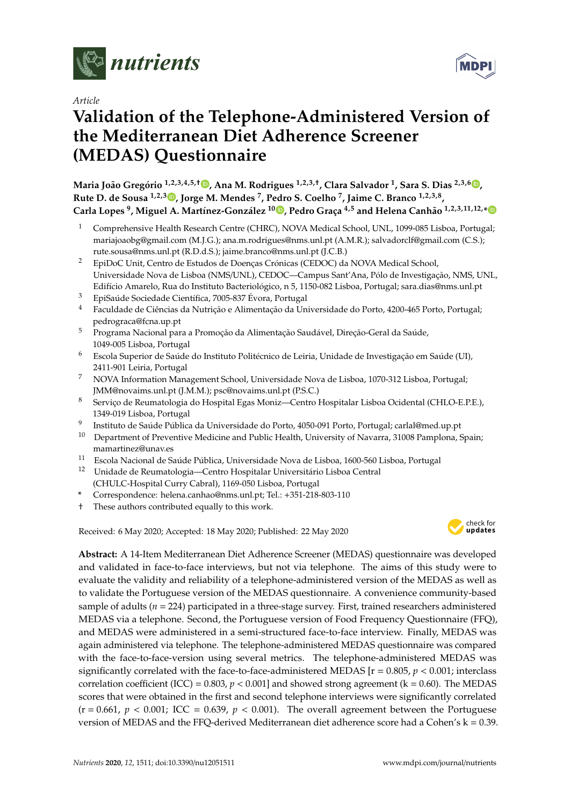

*Article*

# **Validation of the Telephone-Administered Version of the Mediterranean Diet Adherence Screener (MEDAS) Questionnaire**

**Maria João Gregório 1,2,3,4,5,**† **[,](https://orcid.org/0000-0002-0380-7833) Ana M. Rodrigues 1,2,3,**† **, Clara Salvador <sup>1</sup> , Sara S. Dias 2,3,6 [,](https://orcid.org/0000-0001-6782-7481) Rute D. de Sousa 1,2,3 [,](https://orcid.org/0000-0001-9713-0204) Jorge M. Mendes <sup>7</sup> , Pedro S. Coelho <sup>7</sup> , Jaime C. Branco 1,2,3,8 , Carla Lopes <sup>9</sup> , Miguel A. Martínez-González <sup>10</sup> [,](https://orcid.org/0000-0002-3917-9808) Pedro Graça 4,5 and Helena Canhão 1,2,3,11,12,[\\*](https://orcid.org/0000-0003-2046-8017)**

- <sup>1</sup> Comprehensive Health Research Centre (CHRC), NOVA Medical School, UNL, 1099-085 Lisboa, Portugal; mariajoaobg@gmail.com (M.J.G.); ana.m.rodrigues@nms.unl.pt (A.M.R.); salvadorclf@gmail.com (C.S.); rute.sousa@nms.unl.pt (R.D.d.S.); jaime.branco@nms.unl.pt (J.C.B.)
- <sup>2</sup> EpiDoC Unit, Centro de Estudos de Doenças Crónicas (CEDOC) da NOVA Medical School, Universidade Nova de Lisboa (NMS/UNL), CEDOC—Campus Sant'Ana, Pólo de Investigação, NMS, UNL, Edifício Amarelo, Rua do Instituto Bacteriológico, n 5, 1150-082 Lisboa, Portugal; sara.dias@nms.unl.pt
- <sup>3</sup> EpiSaúde Sociedade Científica, 7005-837 Évora, Portugal
- <sup>4</sup> Faculdade de Ciências da Nutrição e Alimentação da Universidade do Porto, 4200-465 Porto, Portugal; pedrograca@fcna.up.pt
- <sup>5</sup> Programa Nacional para a Promoção da Alimentação Saudável, Direção-Geral da Saúde, 1049-005 Lisboa, Portugal
- <sup>6</sup> Escola Superior de Saúde do Instituto Politécnico de Leiria, Unidade de Investigação em Saúde (UI), 2411-901 Leiria, Portugal
- <sup>7</sup> NOVA Information Management School, Universidade Nova de Lisboa, 1070-312 Lisboa, Portugal; JMM@novaims.unl.pt (J.M.M.); psc@novaims.unl.pt (P.S.C.)
- <sup>8</sup> Serviço de Reumatologia do Hospital Egas Moniz—Centro Hospitalar Lisboa Ocidental (CHLO-E.P.E.), 1349-019 Lisboa, Portugal
- 9 Instituto de Saúde Pública da Universidade do Porto, 4050-091 Porto, Portugal; carlal@med.up.pt
- <sup>10</sup> Department of Preventive Medicine and Public Health, University of Navarra, 31008 Pamplona, Spain; mamartinez@unav.es
- <sup>11</sup> Escola Nacional de Saúde Pública, Universidade Nova de Lisboa, 1600-560 Lisboa, Portugal
- <sup>12</sup> Unidade de Reumatologia—Centro Hospitalar Universitário Lisboa Central
- (CHULC-Hospital Curry Cabral), 1169-050 Lisboa, Portugal
- **\*** Correspondence: helena.canhao@nms.unl.pt; Tel.: +351-218-803-110
- † These authors contributed equally to this work.

Received: 6 May 2020; Accepted: 18 May 2020; Published: 22 May 2020



**Abstract:** A 14-Item Mediterranean Diet Adherence Screener (MEDAS) questionnaire was developed and validated in face-to-face interviews, but not via telephone. The aims of this study were to evaluate the validity and reliability of a telephone-administered version of the MEDAS as well as to validate the Portuguese version of the MEDAS questionnaire. A convenience community-based sample of adults (*n* = 224) participated in a three-stage survey. First, trained researchers administered MEDAS via a telephone. Second, the Portuguese version of Food Frequency Questionnaire (FFQ), and MEDAS were administered in a semi-structured face-to-face interview. Finally, MEDAS was again administered via telephone. The telephone-administered MEDAS questionnaire was compared with the face-to-face-version using several metrics. The telephone-administered MEDAS was significantly correlated with the face-to-face-administered MEDAS  $[r = 0.805, p < 0.001$ ; interclass correlation coefficient (ICC) =  $0.803$ ,  $p < 0.001$ ] and showed strong agreement (k =  $0.60$ ). The MEDAS scores that were obtained in the first and second telephone interviews were significantly correlated  $(r = 0.661, p < 0.001;$  ICC = 0.639,  $p < 0.001$ ). The overall agreement between the Portuguese version of MEDAS and the FFQ-derived Mediterranean diet adherence score had a Cohen's k = 0.39.

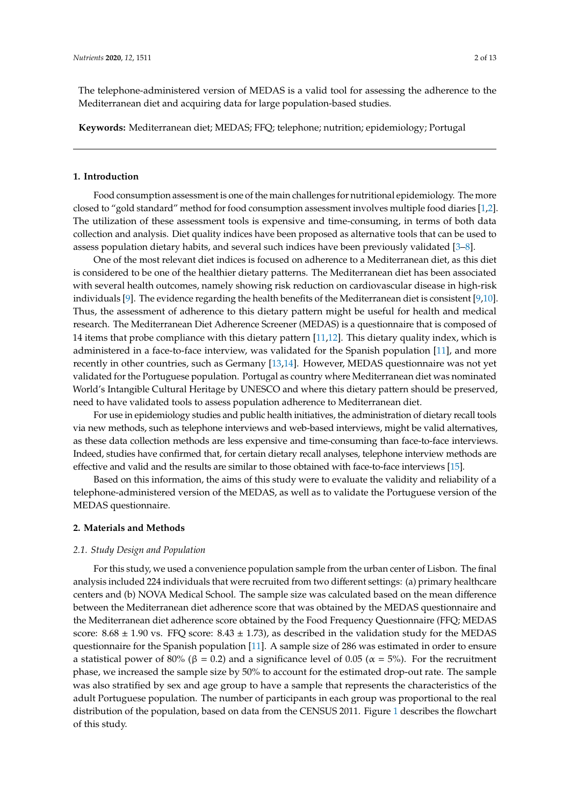The telephone-administered version of MEDAS is a valid tool for assessing the adherence to the Mediterranean diet and acquiring data for large population-based studies.

**Keywords:** Mediterranean diet; MEDAS; FFQ; telephone; nutrition; epidemiology; Portugal

#### **1. Introduction**

Food consumption assessment is one of the main challenges for nutritional epidemiology. The more closed to "gold standard" method for food consumption assessment involves multiple food diaries [\[1](#page-11-0)[,2\]](#page-11-1). The utilization of these assessment tools is expensive and time-consuming, in terms of both data collection and analysis. Diet quality indices have been proposed as alternative tools that can be used to assess population dietary habits, and several such indices have been previously validated [\[3](#page-11-2)[–8\]](#page-11-3).

One of the most relevant diet indices is focused on adherence to a Mediterranean diet, as this diet is considered to be one of the healthier dietary patterns. The Mediterranean diet has been associated with several health outcomes, namely showing risk reduction on cardiovascular disease in high-risk individuals [\[9\]](#page-11-4). The evidence regarding the health benefits of the Mediterranean diet is consistent [\[9](#page-11-4)[,10\]](#page-11-5). Thus, the assessment of adherence to this dietary pattern might be useful for health and medical research. The Mediterranean Diet Adherence Screener (MEDAS) is a questionnaire that is composed of 14 items that probe compliance with this dietary pattern [\[11](#page-11-6)[,12\]](#page-11-7). This dietary quality index, which is administered in a face-to-face interview, was validated for the Spanish population [\[11\]](#page-11-6), and more recently in other countries, such as Germany [\[13,](#page-11-8)[14\]](#page-11-9). However, MEDAS questionnaire was not yet validated for the Portuguese population. Portugal as country where Mediterranean diet was nominated World's Intangible Cultural Heritage by UNESCO and where this dietary pattern should be preserved, need to have validated tools to assess population adherence to Mediterranean diet.

For use in epidemiology studies and public health initiatives, the administration of dietary recall tools via new methods, such as telephone interviews and web-based interviews, might be valid alternatives, as these data collection methods are less expensive and time-consuming than face-to-face interviews. Indeed, studies have confirmed that, for certain dietary recall analyses, telephone interview methods are effective and valid and the results are similar to those obtained with face-to-face interviews [\[15\]](#page-11-10).

Based on this information, the aims of this study were to evaluate the validity and reliability of a telephone-administered version of the MEDAS, as well as to validate the Portuguese version of the MEDAS questionnaire.

## **2. Materials and Methods**

#### *2.1. Study Design and Population*

For this study, we used a convenience population sample from the urban center of Lisbon. The final analysis included 224 individuals that were recruited from two different settings: (a) primary healthcare centers and (b) NOVA Medical School. The sample size was calculated based on the mean difference between the Mediterranean diet adherence score that was obtained by the MEDAS questionnaire and the Mediterranean diet adherence score obtained by the Food Frequency Questionnaire (FFQ; MEDAS score:  $8.68 \pm 1.90$  vs. FFQ score:  $8.43 \pm 1.73$ ), as described in the validation study for the MEDAS questionnaire for the Spanish population [\[11\]](#page-11-6). A sample size of 286 was estimated in order to ensure a statistical power of 80% (β = 0.2) and a significance level of 0.05 ( $\alpha$  = 5%). For the recruitment phase, we increased the sample size by 50% to account for the estimated drop-out rate. The sample was also stratified by sex and age group to have a sample that represents the characteristics of the adult Portuguese population. The number of participants in each group was proportional to the real distribution of the population, based on data from the CENSUS 2011. Figure [1](#page-2-0) describes the flowchart of this study.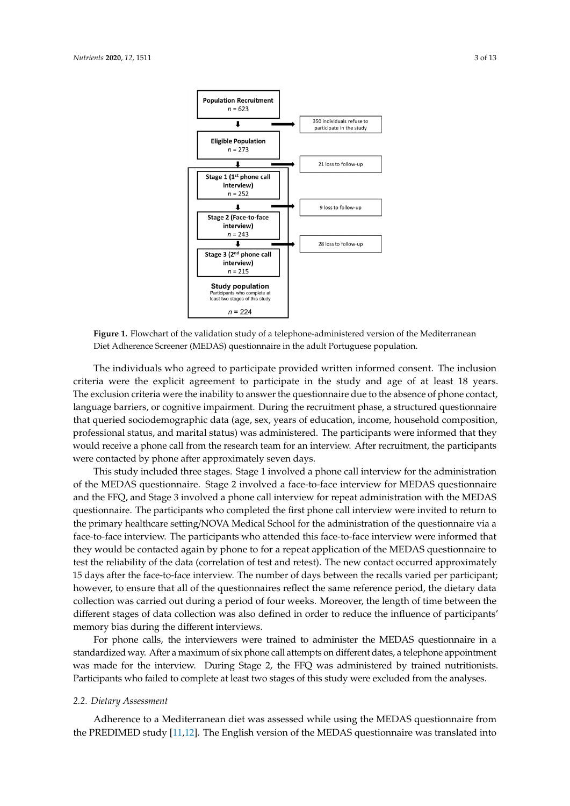<span id="page-2-0"></span>

**Figure 1.** Flowchart of the validation study of a telephone-administered version of the **Figure 1.** Flowchart of the validation study of a telephone-administered version of the Mediterranean Diet Adherence Screener (MEDAS) questionnaire in the adult Portuguese population.

The individuals who agreed to participate provided written informed consent. The inclusion The individuals who agreed to participate provided written informed consent. The inclusion<br>criteria were the explicit agreement to participate in the study and age of at least 18 years. exclusion criteria were the inability to answer the questionnaire due to the absence of phone contact, The exclusion criteria were the inability to answer the questionnaire due to the absence of phone contact, language barriers, or cognitive impairment. During the recruitment phase, a structured questionnaire language barriers, or cognitive impairment. During the recruitment phase, a structured questionnaire<br>that queried sociodemographic data (age, sex, years of education, income, household composition, professional status, and marital status) was administered. The participants were informed that they would receive a phone call from the research team for an interview. After recruitment, the participants were contacted by phone after approximately seven days. professional status, and marital status) was administered. The participants were informed that they<br>would receive a phone call from the research team for an interview. After recruitment, the participants<br>were contacted by

This study included three stages. Stage 1 involved a phone call interview for the administration of the MEDAS questionnaire. Stage 2 involved a face-to-face interview for MEDAS questionnaire and the FFQ, and Stage 3 involved a phone call interview for repeat administration with the MEDAS questionnaire. The participants who completed the first phone call interview were invited to return the primary healthcare setting/NOVA Medical School for the administration of the questionnaire via a face-to-face interview. The participants who attended this face-to-face interview were informed that they would be contacted again by phone to for a repeat application of the MEDAS questionnaire to test the reliability of the data (correlation of test and retest). The new contact occurred approximately 15 days after the face-to-face interview. The number of days between the recalls varied per participant; however, to ensure that all of the questionnaires reflect the same reference period, the dietary data collection was carried out during a period of four weeks. Moreover, the length of time between the different stages of data collection was also defined in order to reduce the influence of participants' memory bias during the different interviews. This study included three stages. Stage 1 involved a phone call interview for the administration<br>of the MEDAS questionnaire. Stage 2 involved a face-to-face interview for MEDAS questionnaire<br>and the FFQ, and Stage 3 involv however, to ensure that all of the questionnaires reflect the same reference period, the dietary data<br>collection was carried out during a period of four weeks. Moreover, the length of time between the<br>different stages of d

For phone calls, the interviewers were trained to administer the MEDAS questionnaire in a standardized way. After a maximum of six phone call attempts on different dates, a telephone was made for the interview. During Stage 2, the FFQ was administered by trained nutritionists. Participants who failed to complete at least two stages of this study were excluded from the analyses. For phone calls, the interviewers were trained to administer the MEDAS questionnaire in a standardized way. After a maximum of six phone call attempts on different dates, a telephone appointment was made for the interview.

#### *2.2. Dietary Assessment*

Adherence to a Mediterranean diet was assessed while using the MEDAS questionnaire from the PREDIMED study [\[11](#page-11-6)[,12\]](#page-11-7). The English version of the MEDAS questionnaire was translated into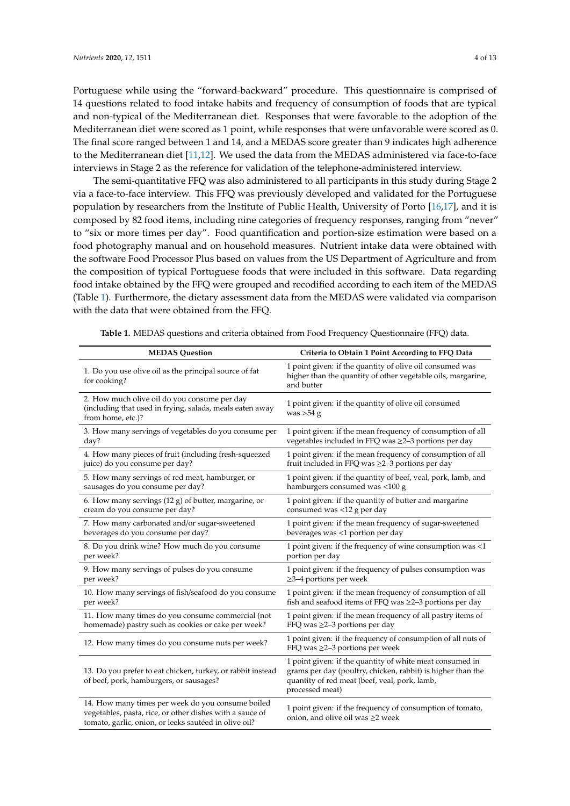<span id="page-3-1"></span>Portuguese while using the "forward-backward" procedure. This questionnaire is comprised of 14 questions related to food intake habits and frequency of consumption of foods that are typical and non-typical of the Mediterranean diet. Responses that were favorable to the adoption of the Mediterranean diet were scored as 1 point, while responses that were unfavorable were scored as 0. The final score ranged between 1 and 14, and a MEDAS score greater than 9 indicates high adherence to the Mediterranean diet [\[11,](#page-11-6)[12\]](#page-11-7). We used the data from the MEDAS administered via face-to-face interviews in Stage 2 as the reference for validation of the telephone-administered interview.

The semi-quantitative FFQ was also administered to all participants in this study during Stage 2 via a face-to-face interview. This FFQ was previously developed and validated for the Portuguese population by researchers from the Institute of Public Health, University of Porto [\[16](#page-11-11)[,17\]](#page-11-12), and it is composed by 82 food items, including nine categories of frequency responses, ranging from "never" to "six or more times per day". Food quantification and portion-size estimation were based on a food photography manual and on household measures. Nutrient intake data were obtained with the software Food Processor Plus based on values from the US Department of Agriculture and from the composition of typical Portuguese foods that were included in this software. Data regarding food intake obtained by the FFQ were grouped and recodified according to each item of the MEDAS (Table [1\)](#page-3-0). Furthermore, the dietary assessment data from the MEDAS were validated via comparison with the data that were obtained from the FFQ.

<span id="page-3-0"></span>

| <b>MEDAS</b> Question                                                                                                                                                  | Criteria to Obtain 1 Point According to FFQ Data                                                                                                                                            |  |  |  |
|------------------------------------------------------------------------------------------------------------------------------------------------------------------------|---------------------------------------------------------------------------------------------------------------------------------------------------------------------------------------------|--|--|--|
| 1. Do you use olive oil as the principal source of fat<br>for cooking?                                                                                                 | 1 point given: if the quantity of olive oil consumed was<br>higher than the quantity of other vegetable oils, margarine,<br>and butter                                                      |  |  |  |
| 2. How much olive oil do you consume per day<br>(including that used in frying, salads, meals eaten away<br>from home, etc.)?                                          | 1 point given: if the quantity of olive oil consumed<br>was $>54$ g                                                                                                                         |  |  |  |
| 3. How many servings of vegetables do you consume per                                                                                                                  | 1 point given: if the mean frequency of consumption of all                                                                                                                                  |  |  |  |
| day?                                                                                                                                                                   | vegetables included in FFQ was $\geq$ 2-3 portions per day                                                                                                                                  |  |  |  |
| 4. How many pieces of fruit (including fresh-squeezed                                                                                                                  | 1 point given: if the mean frequency of consumption of all                                                                                                                                  |  |  |  |
| juice) do you consume per day?                                                                                                                                         | fruit included in FFQ was $\geq$ 2-3 portions per day                                                                                                                                       |  |  |  |
| 5. How many servings of red meat, hamburger, or                                                                                                                        | 1 point given: if the quantity of beef, veal, pork, lamb, and                                                                                                                               |  |  |  |
| sausages do you consume per day?                                                                                                                                       | hamburgers consumed was <100 g                                                                                                                                                              |  |  |  |
| 6. How many servings (12 g) of butter, margarine, or                                                                                                                   | 1 point given: if the quantity of butter and margarine                                                                                                                                      |  |  |  |
| cream do you consume per day?                                                                                                                                          | consumed was <12 g per day                                                                                                                                                                  |  |  |  |
| 7. How many carbonated and/or sugar-sweetened                                                                                                                          | 1 point given: if the mean frequency of sugar-sweetened                                                                                                                                     |  |  |  |
| beverages do you consume per day?                                                                                                                                      | beverages was <1 portion per day                                                                                                                                                            |  |  |  |
| 8. Do you drink wine? How much do you consume                                                                                                                          | 1 point given: if the frequency of wine consumption was <1                                                                                                                                  |  |  |  |
| per week?                                                                                                                                                              | portion per day                                                                                                                                                                             |  |  |  |
| 9. How many servings of pulses do you consume                                                                                                                          | 1 point given: if the frequency of pulses consumption was                                                                                                                                   |  |  |  |
| per week?                                                                                                                                                              | $\geq$ 3-4 portions per week                                                                                                                                                                |  |  |  |
| 10. How many servings of fish/seafood do you consume                                                                                                                   | 1 point given: if the mean frequency of consumption of all                                                                                                                                  |  |  |  |
| per week?                                                                                                                                                              | fish and seafood items of FFQ was $\geq$ 2-3 portions per day                                                                                                                               |  |  |  |
| 11. How many times do you consume commercial (not                                                                                                                      | 1 point given: if the mean frequency of all pastry items of                                                                                                                                 |  |  |  |
| homemade) pastry such as cookies or cake per week?                                                                                                                     | FFQ was $\geq$ 2-3 portions per day                                                                                                                                                         |  |  |  |
| 12. How many times do you consume nuts per week?                                                                                                                       | 1 point given: if the frequency of consumption of all nuts of<br>FFQ was $\geq$ 2-3 portions per week                                                                                       |  |  |  |
| 13. Do you prefer to eat chicken, turkey, or rabbit instead<br>of beef, pork, hamburgers, or sausages?                                                                 | 1 point given: if the quantity of white meat consumed in<br>grams per day (poultry, chicken, rabbit) is higher than the<br>quantity of red meat (beef, veal, pork, lamb,<br>processed meat) |  |  |  |
| 14. How many times per week do you consume boiled<br>vegetables, pasta, rice, or other dishes with a sauce of<br>tomato, garlic, onion, or leeks sautéed in olive oil? | 1 point given: if the frequency of consumption of tomato,<br>onion, and olive oil was $\geq 2$ week                                                                                         |  |  |  |

**Table 1.** MEDAS questions and criteria obtained from Food Frequency Questionnaire (FFQ) data.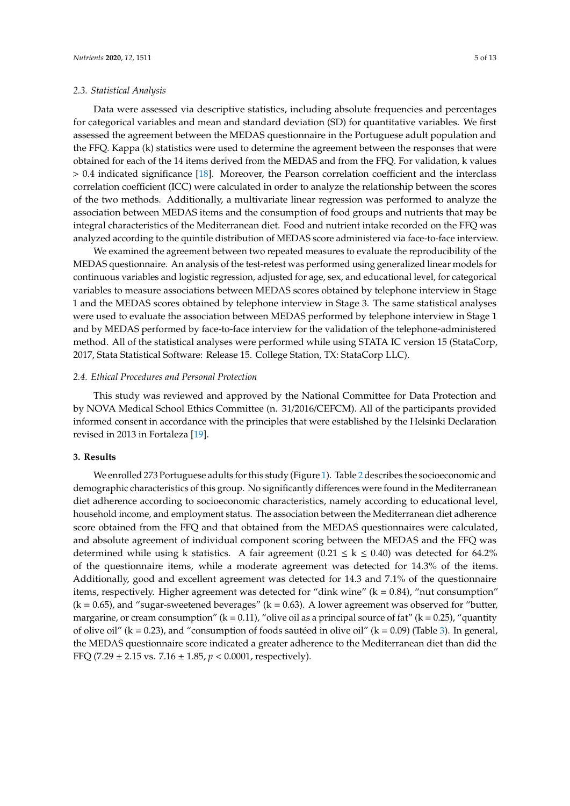#### *2.3. Statistical Analysis*

Data were assessed via descriptive statistics, including absolute frequencies and percentages for categorical variables and mean and standard deviation (SD) for quantitative variables. We first assessed the agreement between the MEDAS questionnaire in the Portuguese adult population and the FFQ. Kappa (k) statistics were used to determine the agreement between the responses that were obtained for each of the 14 items derived from the MEDAS and from the FFQ. For validation, k values > 0.4 indicated significance [\[18\]](#page-11-13). Moreover, the Pearson correlation coefficient and the interclass correlation coefficient (ICC) were calculated in order to analyze the relationship between the scores of the two methods. Additionally, a multivariate linear regression was performed to analyze the association between MEDAS items and the consumption of food groups and nutrients that may be integral characteristics of the Mediterranean diet. Food and nutrient intake recorded on the FFQ was analyzed according to the quintile distribution of MEDAS score administered via face-to-face interview.

We examined the agreement between two repeated measures to evaluate the reproducibility of the MEDAS questionnaire. An analysis of the test-retest was performed using generalized linear models for continuous variables and logistic regression, adjusted for age, sex, and educational level, for categorical variables to measure associations between MEDAS scores obtained by telephone interview in Stage 1 and the MEDAS scores obtained by telephone interview in Stage 3. The same statistical analyses were used to evaluate the association between MEDAS performed by telephone interview in Stage 1 and by MEDAS performed by face-to-face interview for the validation of the telephone-administered method. All of the statistical analyses were performed while using STATA IC version 15 (StataCorp, 2017, Stata Statistical Software: Release 15. College Station, TX: StataCorp LLC).

#### *2.4. Ethical Procedures and Personal Protection*

This study was reviewed and approved by the National Committee for Data Protection and by NOVA Medical School Ethics Committee (n. 31/2016/CEFCM). All of the participants provided informed consent in accordance with the principles that were established by the Helsinki Declaration revised in 2013 in Fortaleza [\[19\]](#page-11-14).

# **3. Results**

We enrolled 273 Portuguese adults for this study (Figure [1\)](#page-2-0). Table [2](#page-5-0) describes the socioeconomic and demographic characteristics of this group. No significantly differences were found in the Mediterranean diet adherence according to socioeconomic characteristics, namely according to educational level, household income, and employment status. The association between the Mediterranean diet adherence score obtained from the FFQ and that obtained from the MEDAS questionnaires were calculated, and absolute agreement of individual component scoring between the MEDAS and the FFQ was determined while using k statistics. A fair agreement  $(0.21 \le k \le 0.40)$  was detected for 64.2% of the questionnaire items, while a moderate agreement was detected for 14.3% of the items. Additionally, good and excellent agreement was detected for 14.3 and 7.1% of the questionnaire items, respectively. Higher agreement was detected for "dink wine"  $(k = 0.84)$ , "nut consumption"  $(k = 0.65)$ , and "sugar-sweetened beverages"  $(k = 0.63)$ . A lower agreement was observed for "butter, margarine, or cream consumption" ( $k = 0.11$ ), "olive oil as a principal source of fat" ( $k = 0.25$ ), "quantity of olive oil" ( $k = 0.23$ ), and "consumption of foods sautéed in olive oil" ( $k = 0.09$ ) (Table [3\)](#page-6-0). In general, the MEDAS questionnaire score indicated a greater adherence to the Mediterranean diet than did the FFQ (7.29 ± 2.15 vs. 7.16 ± 1.85, *p* < 0.0001, respectively).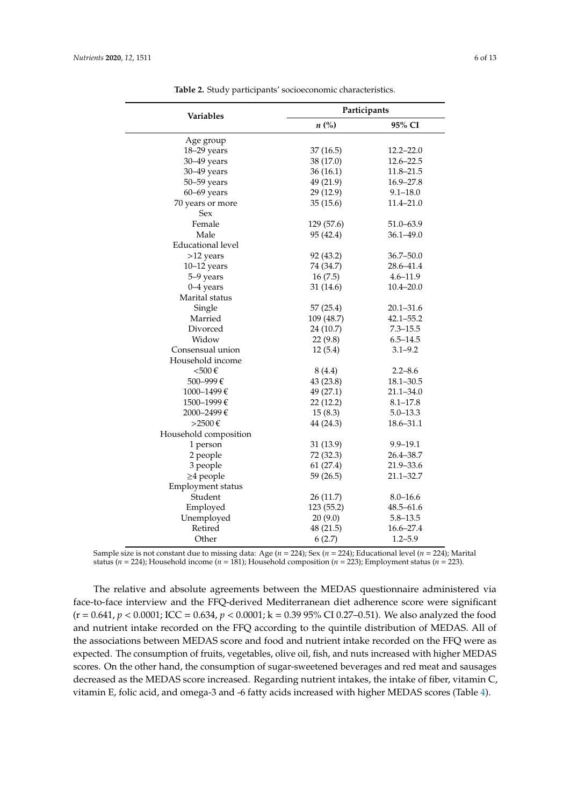<span id="page-5-0"></span>

| Variables                | Participants       |               |  |
|--------------------------|--------------------|---------------|--|
|                          | $n\left(\%\right)$ | 95% CI        |  |
| Age group                |                    |               |  |
| 18-29 years              | 37(16.5)           | $12.2 - 22.0$ |  |
| 30-49 years              | 38 (17.0)          | $12.6 - 22.5$ |  |
| $30 - 49$ years          | 36 (16.1)          | 11.8–21.5     |  |
| 50-59 years              | 49 (21.9)          | $16.9 - 27.8$ |  |
| $60-69$ years            | 29 (12.9)          | $9.1 - 18.0$  |  |
| 70 years or more         | 35(15.6)           | 11.4-21.0     |  |
| Sex                      |                    |               |  |
| Female                   | 129 (57.6)         | 51.0-63.9     |  |
| Male                     | 95 (42.4)          | $36.1 - 49.0$ |  |
| <b>Educational level</b> |                    |               |  |
| >12 years                | 92 (43.2)          | $36.7 - 50.0$ |  |
| $10-12$ years            | 74 (34.7)          | 28.6-41.4     |  |
| 5-9 years                | 16(7.5)            | $4.6 - 11.9$  |  |
| $0 - 4$ years            | 31 (14.6)          | $10.4 - 20.0$ |  |
| Marital status           |                    |               |  |
| Single                   | 57(25.4)           | $20.1 - 31.6$ |  |
| Married                  | 109 (48.7)         | $42.1 - 55.2$ |  |
| Divorced                 | 24 (10.7)          | $7.3 - 15.5$  |  |
| Widow                    | 22(9.8)            | $6.5 - 14.5$  |  |
| Consensual union         | 12(5.4)            | $3.1 - 9.2$   |  |
| Household income         |                    |               |  |
| $<$ 500€                 | 8 (4.4)            | $2.2 - 8.6$   |  |
| 500-999€                 | 43 (23.8)          | $18.1 - 30.5$ |  |
| 1000–1499€               | 49 (27.1)          | 21.1–34.0     |  |
| 1500–1999€               | 22(12.2)           | $8.1 - 17.8$  |  |
| 2000-2499€               | 15(8.3)            | $5.0 - 13.3$  |  |
| >2500€                   | 44 (24.3)          | 18.6-31.1     |  |
| Household composition    |                    |               |  |
| 1 person                 | 31(13.9)           | $9.9 - 19.1$  |  |
| 2 people                 | 72 (32.3)          | 26.4-38.7     |  |
| 3 people                 | 61(27.4)           | 21.9-33.6     |  |
| $\geq$ 4 people          | 59 (26.5)          | $21.1 - 32.7$ |  |
| Employment status        |                    |               |  |
| Student                  | 26(11.7)           | $8.0 - 16.6$  |  |
| Employed                 | 123 (55.2)         | $48.5 - 61.6$ |  |
| Unemployed               | 20(9.0)            | $5.8 - 13.5$  |  |
| Retired                  | 48 (21.5)          | 16.6-27.4     |  |
| Other                    | 6(2.7)             | $1.2 - 5.9$   |  |

**Table 2.** Study participants' socioeconomic characteristics.

Sample size is not constant due to missing data: Age (*n* = 224); Sex (*n* = 224); Educational level (*n* = 224); Marital status (*n* = 224); Household income (*n* = 181); Household composition (*n* = 223); Employment status (*n* = 223).

The relative and absolute agreements between the MEDAS questionnaire administered via face-to-face interview and the FFQ-derived Mediterranean diet adherence score were significant  $(r = 0.641, p < 0.0001;$  ICC =  $0.634, p < 0.0001;$  k =  $0.3995\%$  CI 0.27–0.51). We also analyzed the food and nutrient intake recorded on the FFQ according to the quintile distribution of MEDAS. All of the associations between MEDAS score and food and nutrient intake recorded on the FFQ were as expected. The consumption of fruits, vegetables, olive oil, fish, and nuts increased with higher MEDAS scores. On the other hand, the consumption of sugar-sweetened beverages and red meat and sausages decreased as the MEDAS score increased. Regarding nutrient intakes, the intake of fiber, vitamin C, vitamin E, folic acid, and omega-3 and -6 fatty acids increased with higher MEDAS scores (Table [4\)](#page-7-0).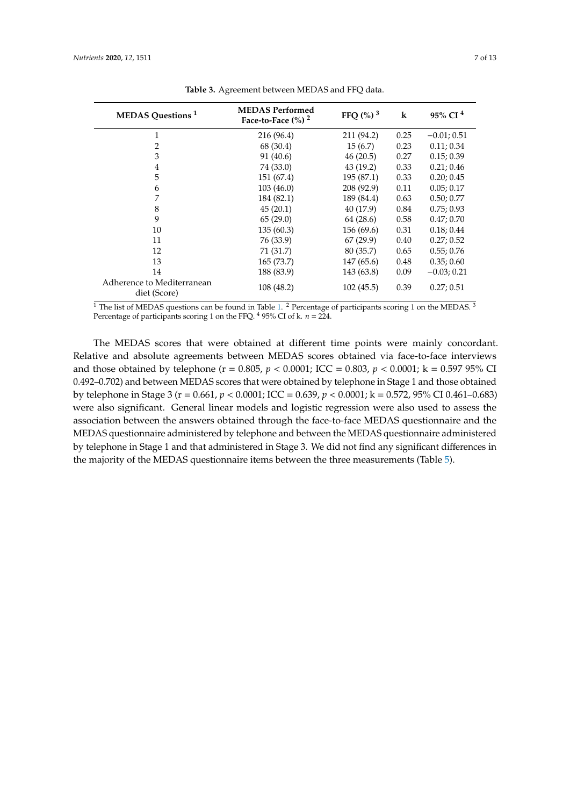<span id="page-6-0"></span>

| <b>MEDAS</b> Questions <sup>1</sup>        | <b>MEDAS</b> Performed<br>Face-to-Face $\frac{6}{6}$ ) <sup>2</sup> | FFQ $\left(\frac{9}{6}\right)^3$ | $\bf k$ | 95% CI <sup>4</sup> |
|--------------------------------------------|---------------------------------------------------------------------|----------------------------------|---------|---------------------|
| $\mathbf{1}$                               | 216 (96.4)                                                          | 211 (94.2)                       | 0.25    | $-0.01; 0.51$       |
| 2                                          | 68 (30.4)                                                           | 15(6.7)                          | 0.23    | 0.11; 0.34          |
| 3                                          | 91 (40.6)                                                           | 46(20.5)                         | 0.27    | 0.15; 0.39          |
| 4                                          | 74 (33.0)                                                           | 43(19.2)                         | 0.33    | 0.21; 0.46          |
| 5                                          | 151 (67.4)                                                          | 195 (87.1)                       | 0.33    | 0.20; 0.45          |
| 6                                          | 103(46.0)                                                           | 208 (92.9)                       | 0.11    | 0.05; 0.17          |
| 7                                          | 184 (82.1)                                                          | 189 (84.4)                       | 0.63    | 0.50; 0.77          |
| 8                                          | 45(20.1)                                                            | 40 (17.9)                        | 0.84    | 0.75; 0.93          |
| 9                                          | 65(29.0)                                                            | 64 (28.6)                        | 0.58    | 0.47;0.70           |
| 10                                         | 135(60.3)                                                           | 156(69.6)                        | 0.31    | 0.18; 0.44          |
| 11                                         | 76 (33.9)                                                           | 67(29.9)                         | 0.40    | 0.27; 0.52          |
| 12                                         | 71 (31.7)                                                           | 80 (35.7)                        | 0.65    | 0.55; 0.76          |
| 13                                         | 165(73.7)                                                           | 147(65.6)                        | 0.48    | 0.35; 0.60          |
| 14                                         | 188 (83.9)                                                          | 143 (63.8)                       | 0.09    | $-0.03; 0.21$       |
| Adherence to Mediterranean<br>diet (Score) | 108 (48.2)                                                          | 102(45.5)                        | 0.39    | 0.27; 0.51          |

**Table 3.** Agreement between MEDAS and FFQ data.

<sup>1</sup> The list of MEDAS questions can be found in Table [1.](#page-3-0) <sup>2</sup> Percentage of participants scoring 1 on the MEDAS. <sup>3</sup> Percentage of participants scoring 1 on the FFQ. <sup>4</sup> 95% CI of k. *n* = 224.

The MEDAS scores that were obtained at different time points were mainly concordant. Relative and absolute agreements between MEDAS scores obtained via face-to-face interviews and those obtained by telephone (r = 0.805, *p* < 0.0001; ICC = 0.803, *p* < 0.0001; k = 0.597 95% CI 0.492–0.702) and between MEDAS scores that were obtained by telephone in Stage 1 and those obtained by telephone in Stage 3 (r = 0.661, *p* < 0.0001; ICC = 0.639, *p* < 0.0001; k = 0.572, 95% CI 0.461–0.683) were also significant. General linear models and logistic regression were also used to assess the association between the answers obtained through the face-to-face MEDAS questionnaire and the MEDAS questionnaire administered by telephone and between the MEDAS questionnaire administered by telephone in Stage 1 and that administered in Stage 3. We did not find any significant differences in the majority of the MEDAS questionnaire items between the three measurements (Table [5\)](#page-8-0).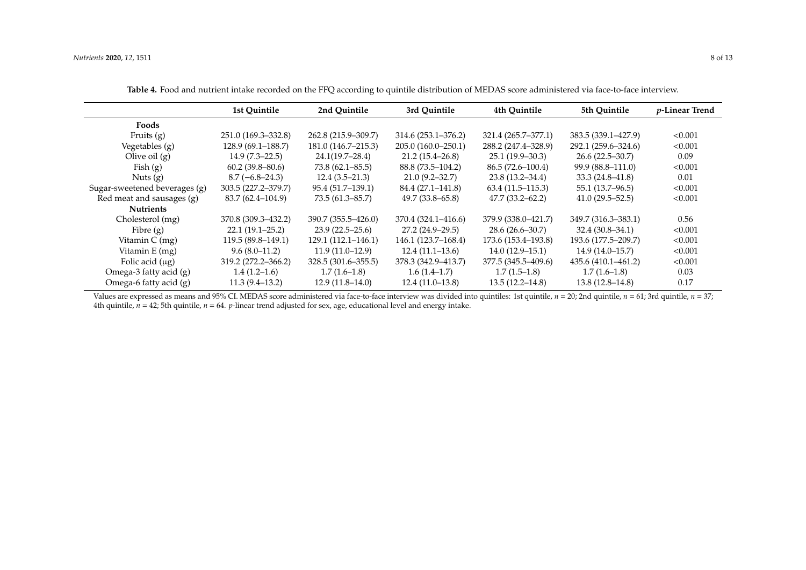|                               | 1st Quintile        | 2nd Quintile           | 3rd Quintile        | 4th Quintile         | 5th Quintile        | $p$ -Linear Trend |
|-------------------------------|---------------------|------------------------|---------------------|----------------------|---------------------|-------------------|
| Foods                         |                     |                        |                     |                      |                     |                   |
| Fruits $(g)$                  | 251.0 (169.3–332.8) | 262.8 (215.9–309.7)    | 314.6 (253.1–376.2) | 321.4 (265.7–377.1)  | 383.5 (339.1–427.9) | < 0.001           |
| Vegetables (g)                | 128.9 (69.1–188.7)  | 181.0 (146.7–215.3)    | 205.0 (160.0-250.1) | 288.2 (247.4–328.9)  | 292.1 (259.6–324.6) | < 0.001           |
| Olive oil $(g)$               | $14.9(7.3-22.5)$    | $24.1(19.7-28.4)$      | $21.2(15.4 - 26.8)$ | $25.1(19.9-30.3)$    | $26.6(22.5 - 30.7)$ | 0.09              |
| Fish $(g)$                    | $60.2(39.8-80.6)$   | $73.8(62.1 - 85.5)$    | 88.8 (73.5–104.2)   | $86.5(72.6 - 100.4)$ | 99.9 (88.8–111.0)   | < 0.001           |
| Nuts(g)                       | $8.7(-6.8-24.3)$    | $12.4(3.5-21.3)$       | $21.0(9.2 - 32.7)$  | $23.8(13.2 - 34.4)$  | $33.3(24.8 - 41.8)$ | 0.01              |
| Sugar-sweetened beverages (g) | 303.5 (227.2–379.7) | 95.4 (51.7–139.1)      | 84.4 (27.1–141.8)   | $63.4(11.5-115.3)$   | 55.1 (13.7–96.5)    | < 0.001           |
| Red meat and sausages (g)     | 83.7 (62.4–104.9)   | $73.5(61.3 - 85.7)$    | $49.7(33.8 - 65.8)$ | $47.7(33.2 - 62.2)$  | $41.0(29.5 - 52.5)$ | < 0.001           |
| <b>Nutrients</b>              |                     |                        |                     |                      |                     |                   |
| Cholesterol (mg)              | 370.8 (309.3-432.2) | 390.7 (355.5-426.0)    | 370.4 (324.1-416.6) | 379.9 (338.0-421.7)  | 349.7 (316.3–383.1) | 0.56              |
| Fibre $(g)$                   | $22.1(19.1-25.2)$   | $23.9(22.5 - 25.6)$    | 27.2 (24.9–29.5)    | $28.6(26.6 - 30.7)$  | $32.4(30.8-34.1)$   | < 0.001           |
| Vitamin $C$ (mg)              | 119.5 (89.8–149.1)  | $129.1(112.1 - 146.1)$ | 146.1 (123.7–168.4) | 173.6 (153.4–193.8)  | 193.6 (177.5–209.7) | < 0.001           |
| Vitamin E (mg)                | $9.6(8.0-11.2)$     | $11.9(11.0-12.9)$      | $12.4(11.1-13.6)$   | $14.0(12.9-15.1)$    | $14.9(14.0-15.7)$   | < 0.001           |
| Folic acid $(\mu g)$          | 319.2 (272.2–366.2) | 328.5 (301.6–355.5)    | 378.3 (342.9–413.7) | 377.5 (345.5–409.6)  | 435.6 (410.1–461.2) | < 0.001           |
| Omega-3 fatty acid (g)        | $1.4(1.2-1.6)$      | $1.7(1.6-1.8)$         | $1.6(1.4-1.7)$      | $1.7(1.5-1.8)$       | $1.7(1.6-1.8)$      | 0.03              |
| Omega-6 fatty acid (g)        | $11.3(9.4-13.2)$    | $12.9(11.8-14.0)$      | $12.4(11.0-13.8)$   | $13.5(12.2 - 14.8)$  | $13.8(12.8 - 14.8)$ | 0.17              |

**Table 4.** Food and nutrient intake recorded on the FFQ according to quintile distribution of MEDAS score administered via face-to-face interview.

<span id="page-7-0"></span>Values are expressed as means and 95% CI. MEDAS score administered via face-to-face interview was divided into quintiles: 1st quintile, *n* = 20; 2nd quintile, *n* = 61; 3rd quintile, *n* = 37; 4th quintile,  $n = 42$ ; 5th quintile,  $n = 64$ . *p*-linear trend adjusted for sex, age, educational level and energy intake.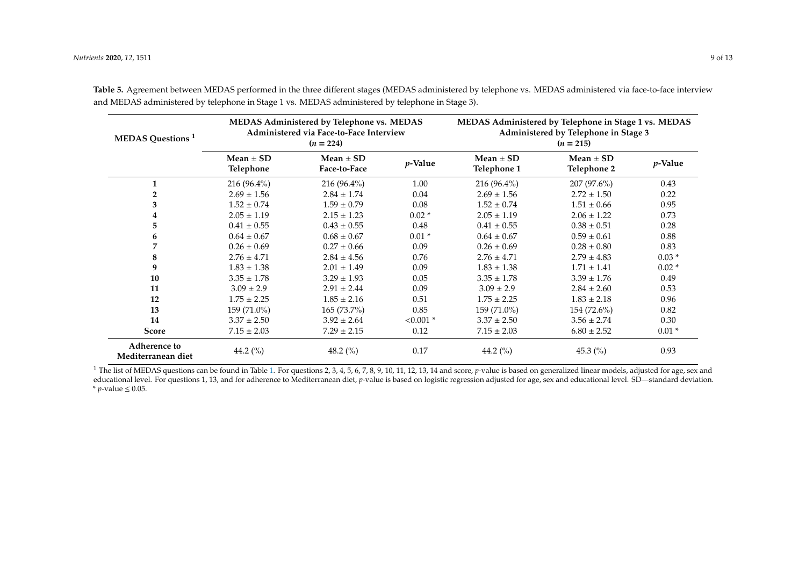| <b>MEDAS</b> Questions <sup>1</sup>       | MEDAS Administered by Telephone vs. MEDAS<br>Administered via Face-to-Face Interview<br>$(n = 224)$ |                               |             | MEDAS Administered by Telephone in Stage 1 vs. MEDAS<br>Administered by Telephone in Stage 3<br>$(n = 215)$ |                              |            |
|-------------------------------------------|-----------------------------------------------------------------------------------------------------|-------------------------------|-------------|-------------------------------------------------------------------------------------------------------------|------------------------------|------------|
|                                           | Mean $\pm$ SD<br>Telephone                                                                          | Mean $\pm$ SD<br>Face-to-Face | $p$ -Value  | Mean $\pm$ SD<br>Telephone 1                                                                                | Mean $\pm$ SD<br>Telephone 2 | $p$ -Value |
| 1                                         | $216(96.4\%)$                                                                                       | $216(96.4\%)$                 | 1.00        | $216(96.4\%)$                                                                                               | 207 (97.6%)                  | 0.43       |
| $\overline{2}$                            | $2.69 \pm 1.56$                                                                                     | $2.84 \pm 1.74$               | 0.04        | $2.69 \pm 1.56$                                                                                             | $2.72 \pm 1.50$              | 0.22       |
| 3                                         | $1.52 \pm 0.74$                                                                                     | $1.59 \pm 0.79$               | 0.08        | $1.52 \pm 0.74$                                                                                             | $1.51 \pm 0.66$              | 0.95       |
| 4                                         | $2.05 \pm 1.19$                                                                                     | $2.15 \pm 1.23$               | $0.02*$     | $2.05 \pm 1.19$                                                                                             | $2.06 \pm 1.22$              | 0.73       |
| 5                                         | $0.41 \pm 0.55$                                                                                     | $0.43 \pm 0.55$               | 0.48        | $0.41 \pm 0.55$                                                                                             | $0.38 \pm 0.51$              | 0.28       |
| 6                                         | $0.64 \pm 0.67$                                                                                     | $0.68 \pm 0.67$               | $0.01*$     | $0.64 \pm 0.67$                                                                                             | $0.59 \pm 0.61$              | 0.88       |
| 7                                         | $0.26 \pm 0.69$                                                                                     | $0.27 \pm 0.66$               | 0.09        | $0.26 \pm 0.69$                                                                                             | $0.28 \pm 0.80$              | 0.83       |
| 8                                         | $2.76 \pm 4.71$                                                                                     | $2.84 \pm 4.56$               | 0.76        | $2.76 \pm 4.71$                                                                                             | $2.79 \pm 4.83$              | $0.03*$    |
| 9                                         | $1.83 \pm 1.38$                                                                                     | $2.01 \pm 1.49$               | 0.09        | $1.83 \pm 1.38$                                                                                             | $1.71 \pm 1.41$              | $0.02*$    |
| 10                                        | $3.35 \pm 1.78$                                                                                     | $3.29 \pm 1.93$               | 0.05        | $3.35 \pm 1.78$                                                                                             | $3.39 \pm 1.76$              | 0.49       |
| 11                                        | $3.09 \pm 2.9$                                                                                      | $2.91 \pm 2.44$               | 0.09        | $3.09 \pm 2.9$                                                                                              | $2.84 \pm 2.60$              | 0.53       |
| 12                                        | $1.75 \pm 2.25$                                                                                     | $1.85 \pm 2.16$               | 0.51        | $1.75 \pm 2.25$                                                                                             | $1.83 \pm 2.18$              | 0.96       |
| 13                                        | 159 (71.0%)                                                                                         | 165 (73.7%)                   | 0.85        | 159 (71.0%)                                                                                                 | 154 (72.6%)                  | 0.82       |
| 14                                        | $3.37 \pm 2.50$                                                                                     | $3.92 \pm 2.64$               | $< 0.001$ * | $3.37 \pm 2.50$                                                                                             | $3.56 \pm 2.74$              | 0.30       |
| <b>Score</b>                              | $7.15 \pm 2.03$                                                                                     | $7.29 \pm 2.15$               | 0.12        | $7.15 \pm 2.03$                                                                                             | $6.80 \pm 2.52$              | $0.01*$    |
| <b>Adherence to</b><br>Mediterranean diet | 44.2 (%)                                                                                            | 48.2 $(\% )$                  | 0.17        | 44.2 $(\%$                                                                                                  | 45.3 $(\% )$                 | 0.93       |

**Table 5.** Agreement between MEDAS performed in the three different stages (MEDAS administered by telephone vs. MEDAS administered via face-to-face interview and MEDAS administered by telephone in Stage 1 vs. MEDAS administered by telephone in Stage 3).

<span id="page-8-0"></span><sup>1</sup> The list of MEDAS questions can be found in Table [1.](#page-3-1) For questions 2, 3, 4, 5, 6, 7, 8, 9, 10, 11, 12, 13, 14 and score, *p*-value is based on generalized linear models, adjusted for age, sex and educational level. For questions 1, 13, and for adherence to Mediterranean diet, *p*-value is based on logistic regression adjusted for age, sex and educational level. SD—standard deviation.  $*$  *p*-value ≤ 0.05.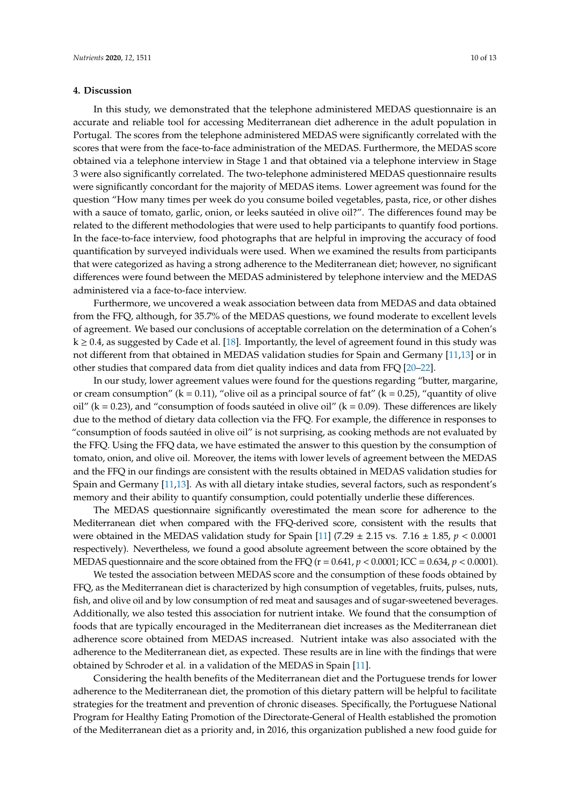## **4. Discussion**

In this study, we demonstrated that the telephone administered MEDAS questionnaire is an accurate and reliable tool for accessing Mediterranean diet adherence in the adult population in Portugal. The scores from the telephone administered MEDAS were significantly correlated with the scores that were from the face-to-face administration of the MEDAS. Furthermore, the MEDAS score obtained via a telephone interview in Stage 1 and that obtained via a telephone interview in Stage 3 were also significantly correlated. The two-telephone administered MEDAS questionnaire results were significantly concordant for the majority of MEDAS items. Lower agreement was found for the question "How many times per week do you consume boiled vegetables, pasta, rice, or other dishes with a sauce of tomato, garlic, onion, or leeks sautéed in olive oil?". The differences found may be related to the different methodologies that were used to help participants to quantify food portions. In the face-to-face interview, food photographs that are helpful in improving the accuracy of food quantification by surveyed individuals were used. When we examined the results from participants that were categorized as having a strong adherence to the Mediterranean diet; however, no significant differences were found between the MEDAS administered by telephone interview and the MEDAS administered via a face-to-face interview.

Furthermore, we uncovered a weak association between data from MEDAS and data obtained from the FFQ, although, for 35.7% of the MEDAS questions, we found moderate to excellent levels of agreement. We based our conclusions of acceptable correlation on the determination of a Cohen's  $k \geq 0.4$ , as suggested by Cade et al. [\[18\]](#page-11-13). Importantly, the level of agreement found in this study was not different from that obtained in MEDAS validation studies for Spain and Germany [\[11](#page-11-6)[,13\]](#page-11-8) or in other studies that compared data from diet quality indices and data from FFQ [\[20–](#page-12-0)[22\]](#page-12-1).

In our study, lower agreement values were found for the questions regarding "butter, margarine, or cream consumption" ( $k = 0.11$ ), "olive oil as a principal source of fat" ( $k = 0.25$ ), "quantity of olive oil" ( $k = 0.23$ ), and "consumption of foods sautéed in olive oil" ( $k = 0.09$ ). These differences are likely due to the method of dietary data collection via the FFQ. For example, the difference in responses to "consumption of foods sautéed in olive oil" is not surprising, as cooking methods are not evaluated by the FFQ. Using the FFQ data, we have estimated the answer to this question by the consumption of tomato, onion, and olive oil. Moreover, the items with lower levels of agreement between the MEDAS and the FFQ in our findings are consistent with the results obtained in MEDAS validation studies for Spain and Germany [\[11](#page-11-6)[,13\]](#page-11-8). As with all dietary intake studies, several factors, such as respondent's memory and their ability to quantify consumption, could potentially underlie these differences.

The MEDAS questionnaire significantly overestimated the mean score for adherence to the Mediterranean diet when compared with the FFQ-derived score, consistent with the results that were obtained in the MEDAS validation study for Spain [\[11\]](#page-11-6) (7.29  $\pm$  2.15 vs. 7.16  $\pm$  1.85,  $p < 0.0001$ respectively). Nevertheless, we found a good absolute agreement between the score obtained by the MEDAS questionnaire and the score obtained from the FFQ  $(r = 0.641, p < 0.0001)$ . ICC = 0.634,  $p < 0.0001$ ).

We tested the association between MEDAS score and the consumption of these foods obtained by FFQ, as the Mediterranean diet is characterized by high consumption of vegetables, fruits, pulses, nuts, fish, and olive oil and by low consumption of red meat and sausages and of sugar-sweetened beverages. Additionally, we also tested this association for nutrient intake. We found that the consumption of foods that are typically encouraged in the Mediterranean diet increases as the Mediterranean diet adherence score obtained from MEDAS increased. Nutrient intake was also associated with the adherence to the Mediterranean diet, as expected. These results are in line with the findings that were obtained by Schroder et al. in a validation of the MEDAS in Spain [\[11\]](#page-11-6).

Considering the health benefits of the Mediterranean diet and the Portuguese trends for lower adherence to the Mediterranean diet, the promotion of this dietary pattern will be helpful to facilitate strategies for the treatment and prevention of chronic diseases. Specifically, the Portuguese National Program for Healthy Eating Promotion of the Directorate-General of Health established the promotion of the Mediterranean diet as a priority and, in 2016, this organization published a new food guide for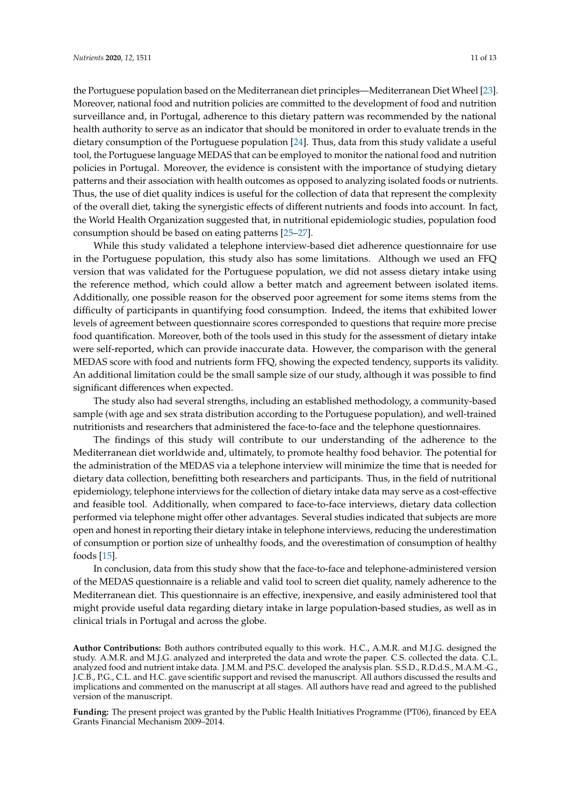the Portuguese population based on the Mediterranean diet principles—Mediterranean Diet Wheel [\[23\]](#page-12-2). Moreover, national food and nutrition policies are committed to the development of food and nutrition surveillance and, in Portugal, adherence to this dietary pattern was recommended by the national health authority to serve as an indicator that should be monitored in order to evaluate trends in the dietary consumption of the Portuguese population [\[24\]](#page-12-3). Thus, data from this study validate a useful tool, the Portuguese language MEDAS that can be employed to monitor the national food and nutrition policies in Portugal. Moreover, the evidence is consistent with the importance of studying dietary patterns and their association with health outcomes as opposed to analyzing isolated foods or nutrients. Thus, the use of diet quality indices is useful for the collection of data that represent the complexity of the overall diet, taking the synergistic effects of different nutrients and foods into account. In fact, the World Health Organization suggested that, in nutritional epidemiologic studies, population food consumption should be based on eating patterns [\[25](#page-12-4)[–27\]](#page-12-5).

While this study validated a telephone interview-based diet adherence questionnaire for use in the Portuguese population, this study also has some limitations. Although we used an FFQ version that was validated for the Portuguese population, we did not assess dietary intake using the reference method, which could allow a better match and agreement between isolated items. Additionally, one possible reason for the observed poor agreement for some items stems from the difficulty of participants in quantifying food consumption. Indeed, the items that exhibited lower levels of agreement between questionnaire scores corresponded to questions that require more precise food quantification. Moreover, both of the tools used in this study for the assessment of dietary intake were self-reported, which can provide inaccurate data. However, the comparison with the general MEDAS score with food and nutrients form FFQ, showing the expected tendency, supports its validity. An additional limitation could be the small sample size of our study, although it was possible to find significant differences when expected.

The study also had several strengths, including an established methodology, a community-based sample (with age and sex strata distribution according to the Portuguese population), and well-trained nutritionists and researchers that administered the face-to-face and the telephone questionnaires.

The findings of this study will contribute to our understanding of the adherence to the Mediterranean diet worldwide and, ultimately, to promote healthy food behavior. The potential for the administration of the MEDAS via a telephone interview will minimize the time that is needed for dietary data collection, benefitting both researchers and participants. Thus, in the field of nutritional epidemiology, telephone interviews for the collection of dietary intake data may serve as a cost-effective and feasible tool. Additionally, when compared to face-to-face interviews, dietary data collection performed via telephone might offer other advantages. Several studies indicated that subjects are more open and honest in reporting their dietary intake in telephone interviews, reducing the underestimation of consumption or portion size of unhealthy foods, and the overestimation of consumption of healthy foods [\[15\]](#page-11-10).

In conclusion, data from this study show that the face-to-face and telephone-administered version of the MEDAS questionnaire is a reliable and valid tool to screen diet quality, namely adherence to the Mediterranean diet. This questionnaire is an effective, inexpensive, and easily administered tool that might provide useful data regarding dietary intake in large population-based studies, as well as in clinical trials in Portugal and across the globe.

**Author Contributions:** Both authors contributed equally to this work. H.C., A.M.R. and M.J.G. designed the study. A.M.R. and M.J.G. analyzed and interpreted the data and wrote the paper. C.S. collected the data. C.L. analyzed food and nutrient intake data. J.M.M. and P.S.C. developed the analysis plan. S.S.D., R.D.d.S., M.A.M.-G., J.C.B., P.G., C.L. and H.C. gave scientific support and revised the manuscript. All authors discussed the results and implications and commented on the manuscript at all stages. All authors have read and agreed to the published version of the manuscript.

**Funding:** The present project was granted by the Public Health Initiatives Programme (PT06), financed by EEA Grants Financial Mechanism 2009–2014.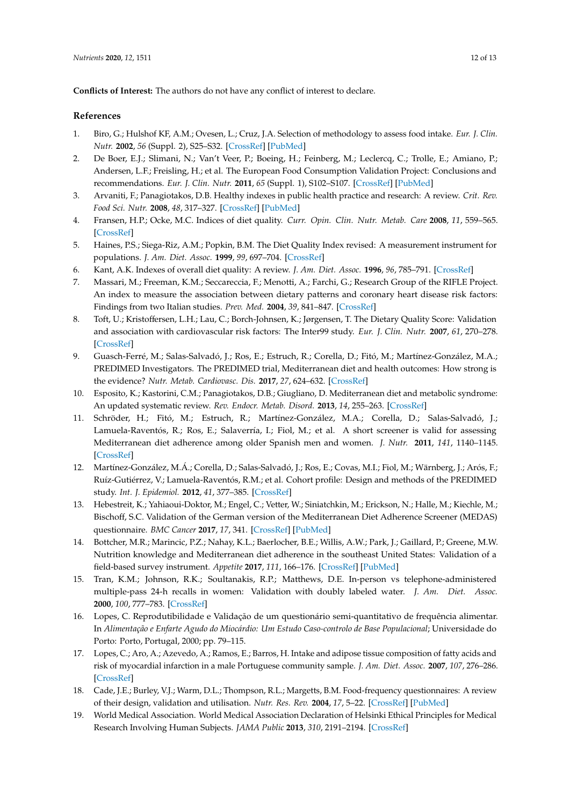**Conflicts of Interest:** The authors do not have any conflict of interest to declare.

# **References**

- <span id="page-11-0"></span>1. Biro, G.; Hulshof KF, A.M.; Ovesen, L.; Cruz, J.A. Selection of methodology to assess food intake. *Eur. J. Clin. Nutr.* **2002**, *56* (Suppl. 2), S25–S32. [\[CrossRef\]](http://dx.doi.org/10.1038/sj.ejcn.1601426) [\[PubMed\]](http://www.ncbi.nlm.nih.gov/pubmed/12082515)
- <span id="page-11-1"></span>2. De Boer, E.J.; Slimani, N.; Van't Veer, P.; Boeing, H.; Feinberg, M.; Leclercq, C.; Trolle, E.; Amiano, P.; Andersen, L.F.; Freisling, H.; et al. The European Food Consumption Validation Project: Conclusions and recommendations. *Eur. J. Clin. Nutr.* **2011**, *65* (Suppl. 1), S102–S107. [\[CrossRef\]](http://dx.doi.org/10.1038/ejcn.2011.94) [\[PubMed\]](http://www.ncbi.nlm.nih.gov/pubmed/21731001)
- <span id="page-11-2"></span>3. Arvaniti, F.; Panagiotakos, D.B. Healthy indexes in public health practice and research: A review. *Crit. Rev. Food Sci. Nutr.* **2008**, *48*, 317–327. [\[CrossRef\]](http://dx.doi.org/10.1080/10408390701326268) [\[PubMed\]](http://www.ncbi.nlm.nih.gov/pubmed/18409114)
- 4. Fransen, H.P.; Ocke, M.C. Indices of diet quality. *Curr. Opin. Clin. Nutr. Metab. Care* **2008**, *11*, 559–565. [\[CrossRef\]](http://dx.doi.org/10.1097/MCO.0b013e32830a49db)
- 5. Haines, P.S.; Siega-Riz, A.M.; Popkin, B.M. The Diet Quality Index revised: A measurement instrument for populations. *J. Am. Diet. Assoc.* **1999**, *99*, 697–704. [\[CrossRef\]](http://dx.doi.org/10.1016/S0002-8223(99)00168-6)
- 6. Kant, A.K. Indexes of overall diet quality: A review. *J. Am. Diet. Assoc.* **1996**, *96*, 785–791. [\[CrossRef\]](http://dx.doi.org/10.1016/S0002-8223(96)00217-9)
- 7. Massari, M.; Freeman, K.M.; Seccareccia, F.; Menotti, A.; Farchi, G.; Research Group of the RIFLE Project. An index to measure the association between dietary patterns and coronary heart disease risk factors: Findings from two Italian studies. *Prev. Med.* **2004**, *39*, 841–847. [\[CrossRef\]](http://dx.doi.org/10.1016/j.ypmed.2004.03.015)
- <span id="page-11-3"></span>8. Toft, U.; Kristoffersen, L.H.; Lau, C.; Borch-Johnsen, K.; Jørgensen, T. The Dietary Quality Score: Validation and association with cardiovascular risk factors: The Inter99 study. *Eur. J. Clin. Nutr.* **2007**, *61*, 270–278. [\[CrossRef\]](http://dx.doi.org/10.1038/sj.ejcn.1602503)
- <span id="page-11-4"></span>9. Guasch-Ferré, M.; Salas-Salvadó, J.; Ros, E.; Estruch, R.; Corella, D.; Fitó, M.; Martínez-González, M.A.; PREDIMED Investigators. The PREDIMED trial, Mediterranean diet and health outcomes: How strong is the evidence? *Nutr. Metab. Cardiovasc. Dis.* **2017**, *27*, 624–632. [\[CrossRef\]](http://dx.doi.org/10.1016/j.numecd.2017.05.004)
- <span id="page-11-5"></span>10. Esposito, K.; Kastorini, C.M.; Panagiotakos, D.B.; Giugliano, D. Mediterranean diet and metabolic syndrome: An updated systematic review. *Rev. Endocr. Metab. Disord.* **2013**, *14*, 255–263. [\[CrossRef\]](http://dx.doi.org/10.1007/s11154-013-9253-9)
- <span id="page-11-6"></span>11. Schröder, H.; Fitó, M.; Estruch, R.; Martínez-González, M.A.; Corella, D.; Salas-Salvadó, J.; Lamuela-Raventós, R.; Ros, E.; Salaverría, I.; Fiol, M.; et al. A short screener is valid for assessing Mediterranean diet adherence among older Spanish men and women. *J. Nutr.* **2011**, *141*, 1140–1145. [\[CrossRef\]](http://dx.doi.org/10.3945/jn.110.135566)
- <span id="page-11-7"></span>12. Martínez-González, M.Á.; Corella, D.; Salas-Salvadó, J.; Ros, E.; Covas, M.I.; Fiol, M.; Wärnberg, J.; Arós, F.; Ruíz-Gutiérrez, V.; Lamuela-Raventós, R.M.; et al. Cohort profile: Design and methods of the PREDIMED study. *Int. J. Epidemiol.* **2012**, *41*, 377–385. [\[CrossRef\]](http://dx.doi.org/10.1093/ije/dyq250)
- <span id="page-11-8"></span>13. Hebestreit, K.; Yahiaoui-Doktor, M.; Engel, C.; Vetter, W.; Siniatchkin, M.; Erickson, N.; Halle, M.; Kiechle, M.; Bischoff, S.C. Validation of the German version of the Mediterranean Diet Adherence Screener (MEDAS) questionnaire. *BMC Cancer* **2017**, *17*, 341. [\[CrossRef\]](http://dx.doi.org/10.1186/s12885-017-3337-y) [\[PubMed\]](http://www.ncbi.nlm.nih.gov/pubmed/28521737)
- <span id="page-11-9"></span>14. Bottcher, M.R.; Marincic, P.Z.; Nahay, K.L.; Baerlocher, B.E.; Willis, A.W.; Park, J.; Gaillard, P.; Greene, M.W. Nutrition knowledge and Mediterranean diet adherence in the southeast United States: Validation of a field-based survey instrument. *Appetite* **2017**, *111*, 166–176. [\[CrossRef\]](http://dx.doi.org/10.1016/j.appet.2016.12.029) [\[PubMed\]](http://www.ncbi.nlm.nih.gov/pubmed/28017910)
- <span id="page-11-10"></span>15. Tran, K.M.; Johnson, R.K.; Soultanakis, R.P.; Matthews, D.E. In-person vs telephone-administered multiple-pass 24-h recalls in women: Validation with doubly labeled water. *J. Am. Diet. Assoc.* **2000**, *100*, 777–783. [\[CrossRef\]](http://dx.doi.org/10.1016/S0002-8223(00)00227-3)
- <span id="page-11-11"></span>16. Lopes, C. Reprodutibilidade e Validação de um questionário semi-quantitativo de frequência alimentar. In *Alimentação e Enfarte Agudo do Miocárdio: Um Estudo Caso-controlo de Base Populacional*; Universidade do Porto: Porto, Portugal, 2000; pp. 79–115.
- <span id="page-11-12"></span>17. Lopes, C.; Aro, A.; Azevedo, A.; Ramos, E.; Barros, H. Intake and adipose tissue composition of fatty acids and risk of myocardial infarction in a male Portuguese community sample. *J. Am. Diet. Assoc.* **2007**, *107*, 276–286. [\[CrossRef\]](http://dx.doi.org/10.1016/j.jada.2006.11.008)
- <span id="page-11-13"></span>18. Cade, J.E.; Burley, V.J.; Warm, D.L.; Thompson, R.L.; Margetts, B.M. Food-frequency questionnaires: A review of their design, validation and utilisation. *Nutr. Res. Rev.* **2004**, *17*, 5–22. [\[CrossRef\]](http://dx.doi.org/10.1079/NRR200370) [\[PubMed\]](http://www.ncbi.nlm.nih.gov/pubmed/19079912)
- <span id="page-11-14"></span>19. World Medical Association. World Medical Association Declaration of Helsinki Ethical Principles for Medical Research Involving Human Subjects. *JAMA Public* **2013**, *310*, 2191–2194. [\[CrossRef\]](http://dx.doi.org/10.1001/jama.2013.281053)